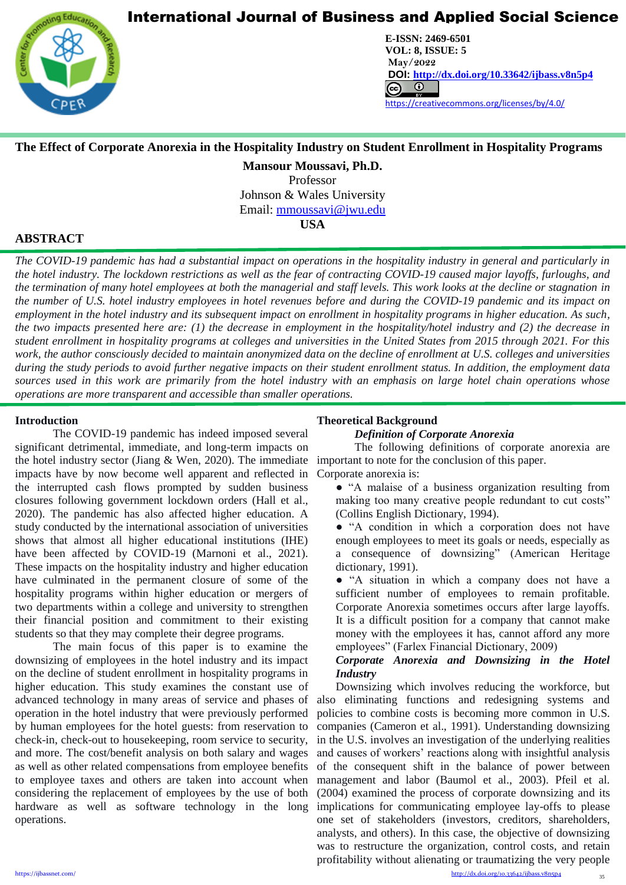

**CENTER FOR PROMOTION EDUCATION AND RESEARCH (CPER)** USA [www.cpernet.org](http://www.cpernet.org/)/www.cpernet.org/www.cpernet.org/www.cpernet.org/www.cpernet.org/www.cpernet.org/www.cpernet.org/www.cpernet.org/www.cpernet.org/www.cpernet.org/www.c **E-ISSN: 2469-6501 VOL: 8, ISSUE: 5 May/2022 DOI: <http://dx.doi.org/10.33642/ijbass.v8n5p4>**  <https://creativecommons.org/licenses/by/4.0/>

## **The Effect of Corporate Anorexia in the Hospitality Industry on Student Enrollment in Hospitality Programs**

**Mansour Moussavi, Ph.D.**

Professor Johnson & Wales University

Email: [mmoussavi@jwu.edu](mailto:mmoussavi@jwu.edu)

**USA**

## **ABSTRACT**

L

*The COVID-19 pandemic has had a substantial impact on operations in the hospitality industry in general and particularly in the hotel industry. The lockdown restrictions as well as the fear of contracting COVID-19 caused major layoffs, furloughs, and the termination of many hotel employees at both the managerial and staff levels. This work looks at the decline or stagnation in the number of U.S. hotel industry employees in hotel revenues before and during the COVID-19 pandemic and its impact on employment in the hotel industry and its subsequent impact on enrollment in hospitality programs in higher education. As such, the two impacts presented here are: (1) the decrease in employment in the hospitality/hotel industry and (2) the decrease in student enrollment in hospitality programs at colleges and universities in the United States from 2015 through 2021. For this work, the author consciously decided to maintain anonymized data on the decline of enrollment at U.S. colleges and universities during the study periods to avoid further negative impacts on their student enrollment status. In addition, the employment data sources used in this work are primarily from the hotel industry with an emphasis on large hotel chain operations whose operations are more transparent and accessible than smaller operations.* 

### **Introduction**

The COVID-19 pandemic has indeed imposed several significant detrimental, immediate, and long-term impacts on the hotel industry sector (Jiang & Wen, 2020). The immediate impacts have by now become well apparent and reflected in the interrupted cash flows prompted by sudden business closures following government lockdown orders (Hall et al., 2020). The pandemic has also affected higher education. A study conducted by the international association of universities shows that almost all higher educational institutions (IHE) have been affected by COVID-19 (Marnoni et al., 2021). These impacts on the hospitality industry and higher education have culminated in the permanent closure of some of the hospitality programs within higher education or mergers of two departments within a college and university to strengthen their financial position and commitment to their existing students so that they may complete their degree programs.

The main focus of this paper is to examine the downsizing of employees in the hotel industry and its impact on the decline of student enrollment in hospitality programs in higher education. This study examines the constant use of advanced technology in many areas of service and phases of operation in the hotel industry that were previously performed by human employees for the hotel guests: from reservation to check-in, check-out to housekeeping, room service to security, and more. The cost/benefit analysis on both salary and wages as well as other related compensations from employee benefits to employee taxes and others are taken into account when considering the replacement of employees by the use of both hardware as well as software technology in the long operations.

## **Theoretical Background**

### *Definition of Corporate Anorexia*

The following definitions of corporate anorexia are important to note for the conclusion of this paper. Corporate anorexia is:

● "A malaise of a business organization resulting from making too many creative people redundant to cut costs" (Collins English Dictionary, 1994).

• "A condition in which a corporation does not have enough employees to meet its goals or needs, especially as a consequence of downsizing" (American Heritage dictionary, 1991).

● "A situation in which a company does not have a sufficient number of employees to remain profitable. Corporate Anorexia sometimes occurs after large layoffs. It is a difficult position for a company that cannot make money with the employees it has, cannot afford any more employees" (Farlex Financial Dictionary, 2009)

## *Corporate Anorexia and Downsizing in the Hotel Industry*

Downsizing which involves reducing the workforce, but also eliminating functions and redesigning systems and policies to combine costs is becoming more common in U.S. companies (Cameron et al., 1991). Understanding downsizing in the U.S. involves an investigation of the underlying realities and causes of workers' reactions along with insightful analysis of the consequent shift in the balance of power between management and labor (Baumol et al., 2003). Pfeil et al. (2004) examined the process of corporate downsizing and its implications for communicating employee lay-offs to please one set of stakeholders (investors, creditors, shareholders, analysts, and others). In this case, the objective of downsizing was to restructure the organization, control costs, and retain profitability without alienating or traumatizing the very people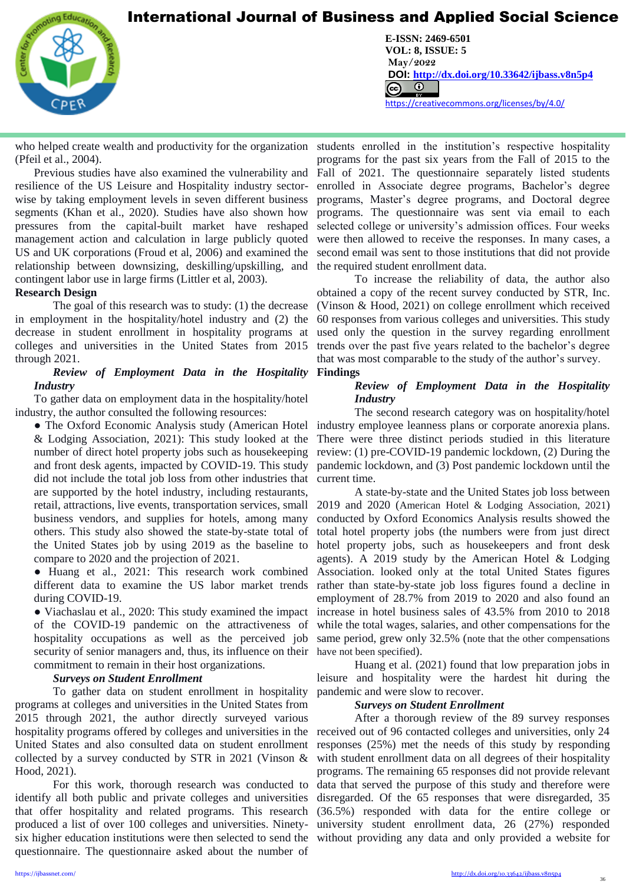

L

**CENTER FOR PROMOTION EDUCATION AND RESEARCH (CPER)** USA [www.cpernet.org](http://www.cpernet.org/)/www.cpernet.org/www.cpernet.org/www.cpernet.org/www.cpernet.org/www.cpernet.org/www.cpernet.org/www.cpernet.org/www.cpernet.org/www.cpernet.org/www.c **E-ISSN: 2469-6501 VOL: 8, ISSUE: 5 May/2022 DOI: <http://dx.doi.org/10.33642/ijbass.v8n5p4>**  <https://creativecommons.org/licenses/by/4.0/>

(Pfeil et al., 2004).

Previous studies have also examined the vulnerability and resilience of the US Leisure and Hospitality industry sectorwise by taking employment levels in seven different business segments (Khan et al., 2020). Studies have also shown how pressures from the capital-built market have reshaped management action and calculation in large publicly quoted US and UK corporations (Froud et al, 2006) and examined the relationship between downsizing, deskilling/upskilling, and contingent labor use in large firms (Littler et al, 2003).

### **Research Design**

The goal of this research was to study: (1) the decrease in employment in the hospitality/hotel industry and (2) the decrease in student enrollment in hospitality programs at colleges and universities in the United States from 2015 through 2021.

### *Review of Employment Data in the Hospitality*  **Findings** *Industry*

To gather data on employment data in the hospitality/hotel industry, the author consulted the following resources:

• The Oxford Economic Analysis study (American Hotel & Lodging Association, 2021): This study looked at the number of direct hotel property jobs such as housekeeping and front desk agents, impacted by COVID-19. This study did not include the total job loss from other industries that are supported by the hotel industry, including restaurants, retail, attractions, live events, transportation services, small business vendors, and supplies for hotels, among many others. This study also showed the state-by-state total of the United States job by using 2019 as the baseline to compare to 2020 and the projection of 2021.

• Huang et al., 2021: This research work combined different data to examine the US labor market trends during COVID-19.

● Viachaslau et al., 2020: This study examined the impact of the COVID-19 pandemic on the attractiveness of hospitality occupations as well as the perceived job security of senior managers and, thus, its influence on their have not been specified). commitment to remain in their host organizations.

### *Surveys on Student Enrollment*

To gather data on student enrollment in hospitality programs at colleges and universities in the United States from 2015 through 2021, the author directly surveyed various hospitality programs offered by colleges and universities in the United States and also consulted data on student enrollment collected by a survey conducted by STR in 2021 (Vinson & Hood, 2021).

For this work, thorough research was conducted to identify all both public and private colleges and universities that offer hospitality and related programs. This research (36.5%) responded with data for the entire college or produced a list of over 100 colleges and universities. Ninety-university student enrollment data, 26 (27%) responded six higher education institutions were then selected to send the without providing any data and only provided a website for questionnaire. The questionnaire asked about the number of

who helped create wealth and productivity for the organization students enrolled in the institution's respective hospitality programs for the past six years from the Fall of 2015 to the Fall of 2021. The questionnaire separately listed students enrolled in Associate degree programs, Bachelor's degree programs, Master's degree programs, and Doctoral degree programs. The questionnaire was sent via email to each selected college or university's admission offices. Four weeks were then allowed to receive the responses. In many cases, a second email was sent to those institutions that did not provide the required student enrollment data.

> To increase the reliability of data, the author also obtained a copy of the recent survey conducted by STR, Inc. (Vinson & Hood, 2021) on college enrollment which received 60 responses from various colleges and universities. This study used only the question in the survey regarding enrollment trends over the past five years related to the bachelor's degree that was most comparable to the study of the author's survey.

### *Review of Employment Data in the Hospitality Industry*

The second research category was on hospitality/hotel industry employee leanness plans or corporate anorexia plans. There were three distinct periods studied in this literature review: (1) pre-COVID-19 pandemic lockdown, (2) During the pandemic lockdown, and (3) Post pandemic lockdown until the current time.

A state-by-state and the United States job loss between 2019 and 2020 (American Hotel & Lodging Association, 2021) conducted by Oxford Economics Analysis results showed the total hotel property jobs (the numbers were from just direct hotel property jobs, such as housekeepers and front desk agents). A 2019 study by the American Hotel & Lodging Association. looked only at the total United States figures rather than state-by-state job loss figures found a decline in employment of 28.7% from 2019 to 2020 and also found an increase in hotel business sales of 43.5% from 2010 to 2018 while the total wages, salaries, and other compensations for the same period, grew only 32.5% (note that the other compensations

Huang et al. (2021) found that low preparation jobs in leisure and hospitality were the hardest hit during the pandemic and were slow to recover.

### *Surveys on Student Enrollment*

After a thorough review of the 89 survey responses received out of 96 contacted colleges and universities, only 24 responses (25%) met the needs of this study by responding with student enrollment data on all degrees of their hospitality programs. The remaining 65 responses did not provide relevant data that served the purpose of this study and therefore were disregarded. Of the 65 responses that were disregarded, 35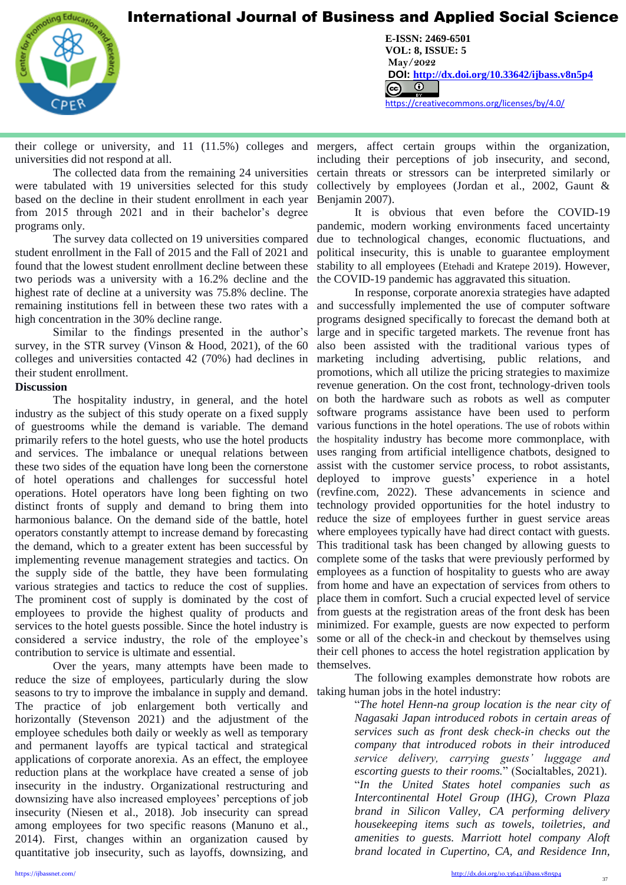

L

**CENTER FOR PROMOTION EDUCATION AND RESEARCH (CPER)** USA [www.cpernet.org](http://www.cpernet.org/)/www.cpernet.org/www.cpernet.org/www.cpernet.org/www.cpernet.org/www.cpernet.org/www.cpernet.org/www.cpernet.org/www.cpernet.org/www.cpernet.org/www.c **E-ISSN: 2469-6501 VOL: 8, ISSUE: 5 May/2022 DOI: <http://dx.doi.org/10.33642/ijbass.v8n5p4>**  <https://creativecommons.org/licenses/by/4.0/>

their college or university, and 11 (11.5%) colleges and mergers, affect certain groups within the organization, universities did not respond at all.

The collected data from the remaining 24 universities were tabulated with 19 universities selected for this study based on the decline in their student enrollment in each year from 2015 through 2021 and in their bachelor's degree programs only.

The survey data collected on 19 universities compared student enrollment in the Fall of 2015 and the Fall of 2021 and found that the lowest student enrollment decline between these two periods was a university with a 16.2% decline and the highest rate of decline at a university was 75.8% decline. The remaining institutions fell in between these two rates with a high concentration in the 30% decline range.

Similar to the findings presented in the author's survey, in the STR survey (Vinson & Hood, 2021), of the 60 colleges and universities contacted 42 (70%) had declines in their student enrollment.

### **Discussion**

The hospitality industry, in general, and the hotel industry as the subject of this study operate on a fixed supply of guestrooms while the demand is variable. The demand primarily refers to the hotel guests, who use the hotel products and services. The imbalance or unequal relations between these two sides of the equation have long been the cornerstone of hotel operations and challenges for successful hotel operations. Hotel operators have long been fighting on two distinct fronts of supply and demand to bring them into harmonious balance. On the demand side of the battle, hotel operators constantly attempt to increase demand by forecasting the demand, which to a greater extent has been successful by implementing revenue management strategies and tactics. On the supply side of the battle, they have been formulating various strategies and tactics to reduce the cost of supplies. The prominent cost of supply is dominated by the cost of employees to provide the highest quality of products and services to the hotel guests possible. Since the hotel industry is considered a service industry, the role of the employee's contribution to service is ultimate and essential.

Over the years, many attempts have been made to reduce the size of employees, particularly during the slow seasons to try to improve the imbalance in supply and demand. The practice of job enlargement both vertically and horizontally (Stevenson 2021) and the adjustment of the employee schedules both daily or weekly as well as temporary and permanent layoffs are typical tactical and strategical applications of corporate anorexia. As an effect, the employee reduction plans at the workplace have created a sense of job insecurity in the industry. Organizational restructuring and downsizing have also increased employees' perceptions of job insecurity (Niesen et al., 2018). Job insecurity can spread among employees for two specific reasons (Manuno et al., 2014). First, changes within an organization caused by quantitative job insecurity, such as layoffs, downsizing, and

including their perceptions of job insecurity, and second, certain threats or stressors can be interpreted similarly or collectively by employees (Jordan et al., 2002, Gaunt & Benjamin 2007).

It is obvious that even before the COVID-19 pandemic, modern working environments faced uncertainty due to technological changes, economic fluctuations, and political insecurity, this is unable to guarantee employment stability to all employees (Etehadi and Kratepe 2019). However, the COVID-19 pandemic has aggravated this situation.

In response, corporate anorexia strategies have adapted and successfully implemented the use of computer software programs designed specifically to forecast the demand both at large and in specific targeted markets. The revenue front has also been assisted with the traditional various types of marketing including advertising, public relations, and promotions, which all utilize the pricing strategies to maximize revenue generation. On the cost front, technology-driven tools on both the hardware such as robots as well as computer software programs assistance have been used to perform various functions in the hotel operations. The use of robots within the hospitality industry has become more commonplace, with uses ranging from artificial intelligence chatbots, designed to assist with the customer service process, to robot assistants, deployed to improve guests' experience in a hotel (revfine.com, 2022). These advancements in science and technology provided opportunities for the hotel industry to reduce the size of employees further in guest service areas where employees typically have had direct contact with guests. This traditional task has been changed by allowing guests to complete some of the tasks that were previously performed by employees as a function of hospitality to guests who are away from home and have an expectation of services from others to place them in comfort. Such a crucial expected level of service from guests at the registration areas of the front desk has been minimized. For example, guests are now expected to perform some or all of the check-in and checkout by themselves using their cell phones to access the hotel registration application by themselves.

The following examples demonstrate how robots are taking human jobs in the hotel industry:

> "*The hotel Henn-na group location is the near city of Nagasaki Japan introduced robots in certain areas of services such as front desk check-in checks out the company that introduced robots in their introduced service delivery, carrying guests' luggage and escorting guests to their rooms.*" (Socialtables, 2021). "*In the United States hotel companies such as Intercontinental Hotel Group (IHG), Crown Plaza brand in Silicon Valley, CA performing delivery housekeeping items such as towels, toiletries, and amenities to guests. Marriott hotel company Aloft brand located in Cupertino, CA, and Residence Inn,*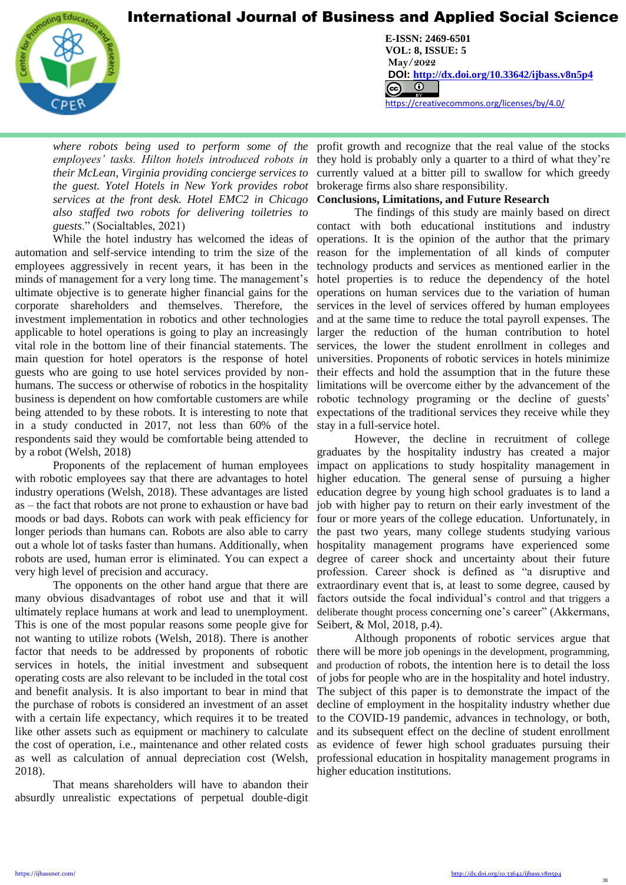

L

**CENTER FOR PROMOTION EDUCATION AND RESEARCH (CPER)** USA [www.cpernet.org](http://www.cpernet.org/)/www.cpernet.org/www.cpernet.org/www.cpernet.org/www.cpernet.org/www.cpernet.org/www.cpernet.org/www.cpernet.org/www.cpernet.org/www.cpernet.org/www.c **E-ISSN: 2469-6501 VOL: 8, ISSUE: 5 May/2022 DOI: <http://dx.doi.org/10.33642/ijbass.v8n5p4>**  <https://creativecommons.org/licenses/by/4.0/>

*where robots being used to perform some of the employees' tasks. Hilton hotels introduced robots in their McLean, Virginia providing concierge services to the guest. Yotel Hotels in New York provides robot services at the front desk. Hotel EMC2 in Chicago also staffed two robots for delivering toiletries to guests*." (Socialtables, 2021)

While the hotel industry has welcomed the ideas of automation and self-service intending to trim the size of the employees aggressively in recent years, it has been in the minds of management for a very long time. The management's ultimate objective is to generate higher financial gains for the corporate shareholders and themselves. Therefore, the investment implementation in robotics and other technologies applicable to hotel operations is going to play an increasingly vital role in the bottom line of their financial statements. The main question for hotel operators is the response of hotel guests who are going to use hotel services provided by nonhumans. The success or otherwise of robotics in the hospitality business is dependent on how comfortable customers are while being attended to by these robots. It is interesting to note that in a study conducted in 2017, not less than 60% of the respondents said they would be comfortable being attended to by a robot (Welsh, 2018)

Proponents of the replacement of human employees with robotic employees say that there are advantages to hotel industry operations (Welsh, 2018). These advantages are listed as – the fact that robots are not prone to exhaustion or have bad moods or bad days. Robots can work with peak efficiency for longer periods than humans can. Robots are also able to carry out a whole lot of tasks faster than humans. Additionally, when robots are used, human error is eliminated. You can expect a very high level of precision and accuracy.

The opponents on the other hand argue that there are many obvious disadvantages of robot use and that it will ultimately replace humans at work and lead to unemployment. This is one of the most popular reasons some people give for not wanting to utilize robots (Welsh, 2018). There is another factor that needs to be addressed by proponents of robotic services in hotels, the initial investment and subsequent operating costs are also relevant to be included in the total cost and benefit analysis. It is also important to bear in mind that the purchase of robots is considered an investment of an asset with a certain life expectancy, which requires it to be treated like other assets such as equipment or machinery to calculate the cost of operation, i.e., maintenance and other related costs as well as calculation of annual depreciation cost (Welsh, 2018).

That means shareholders will have to abandon their absurdly unrealistic expectations of perpetual double-digit

profit growth and recognize that the real value of the stocks they hold is probably only a quarter to a third of what they're currently valued at a bitter pill to swallow for which greedy brokerage firms also share responsibility.

### **Conclusions, Limitations, and Future Research**

The findings of this study are mainly based on direct contact with both educational institutions and industry operations. It is the opinion of the author that the primary reason for the implementation of all kinds of computer technology products and services as mentioned earlier in the hotel properties is to reduce the dependency of the hotel operations on human services due to the variation of human services in the level of services offered by human employees and at the same time to reduce the total payroll expenses. The larger the reduction of the human contribution to hotel services, the lower the student enrollment in colleges and universities. Proponents of robotic services in hotels minimize their effects and hold the assumption that in the future these limitations will be overcome either by the advancement of the robotic technology programing or the decline of guests' expectations of the traditional services they receive while they stay in a full-service hotel.

However, the decline in recruitment of college graduates by the hospitality industry has created a major impact on applications to study hospitality management in higher education. The general sense of pursuing a higher education degree by young high school graduates is to land a job with higher pay to return on their early investment of the four or more years of the college education.Unfortunately, in the past two years, many college students studying various hospitality management programs have experienced some degree of career shock and uncertainty about their future profession. Career shock is defined as "a disruptive and extraordinary event that is, at least to some degree, caused by factors outside the focal individual's control and that triggers a deliberate thought process concerning one's career" (Akkermans, Seibert, & Mol, 2018, p.4).

Although proponents of robotic services argue that there will be more job openings in the development, programming, and production of robots, the intention here is to detail the loss of jobs for people who are in the hospitality and hotel industry. The subject of this paper is to demonstrate the impact of the decline of employment in the hospitality industry whether due to the COVID-19 pandemic, advances in technology, or both, and its subsequent effect on the decline of student enrollment as evidence of fewer high school graduates pursuing their professional education in hospitality management programs in higher education institutions.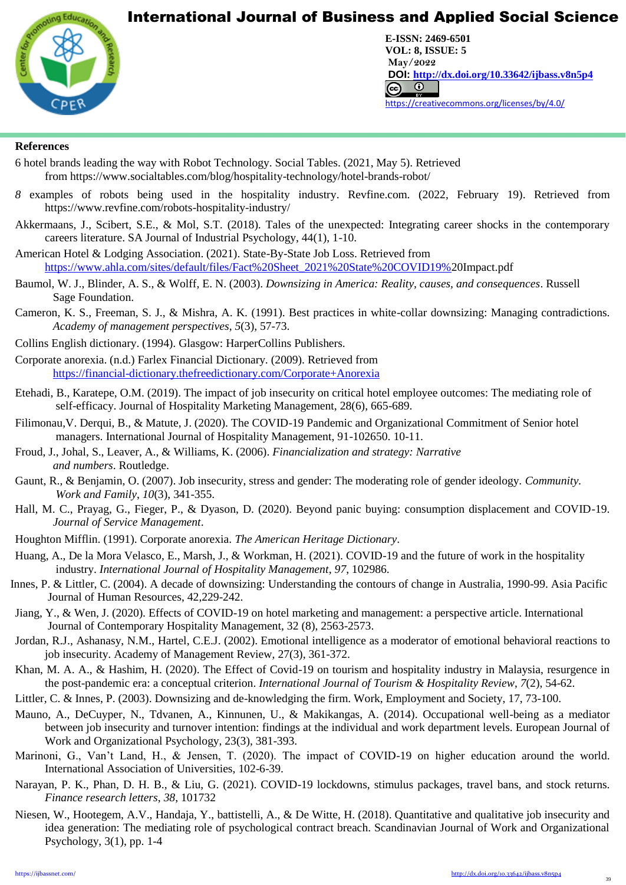

**CENTER FOR PROMOTION EDUCATION AND RESEARCH (CPER)** USA [www.cpernet.org](http://www.cpernet.org/)/www.cpernet.org/www.cpernet.org/www.cpernet.org/www.cpernet.org/www.cpernet.org/www.cpernet.org/www.cpernet.org/www.cpernet.org/www.cpernet.org/www.c **E-ISSN: 2469-6501 VOL: 8, ISSUE: 5 May/2022 DOI: <http://dx.doi.org/10.33642/ijbass.v8n5p4>**  <https://creativecommons.org/licenses/by/4.0/>

## **References**

L

- 6 hotel brands leading the way with Robot Technology. Social Tables. (2021, May 5). Retrieved from https://www.socialtables.com/blog/hospitality-technology/hotel-brands-robot/
- *8* examples of robots being used in the hospitality industry. Revfine.com. (2022, February 19). Retrieved from https://www.revfine.com/robots-hospitality-industry/
- Akkermaans, J., Scibert, S.E., & Mol, S.T. (2018). Tales of the unexpected: Integrating career shocks in the contemporary careers literature. SA Journal of Industrial Psychology, 44(1), 1-10.
- American Hotel & Lodging Association. (2021). State-By-State Job Loss. Retrieved from [https://www.ahla.com/sites/default/files/Fact%20Sheet\\_2021%20State%20COVID19%2](https://www.ahla.com/sites/default/files/Fact%20Sheet_2021%20State%20COVID19%25)0Impact.pdf
- Baumol, W. J., Blinder, A. S., & Wolff, E. N. (2003). *Downsizing in America: Reality, causes, and consequences*. Russell Sage Foundation.
- Cameron, K. S., Freeman, S. J., & Mishra, A. K. (1991). Best practices in white-collar downsizing: Managing contradictions. *Academy of management perspectives*, *5*(3), 57-73.
- Collins English dictionary. (1994). Glasgow: HarperCollins Publishers.
- Corporate anorexia. (n.d.) Farlex Financial Dictionary. (2009). Retrieved from <https://financial-dictionary.thefreedictionary.com/Corporate+Anorexia>
- Etehadi, B., Karatepe, O.M. (2019). The impact of job insecurity on critical hotel employee outcomes: The mediating role of self-efficacy. Journal of Hospitality Marketing Management, 28(6), 665-689.
- Filimonau,V. Derqui, B., & Matute, J. (2020). The COVID-19 Pandemic and Organizational Commitment of Senior hotel managers. International Journal of Hospitality Management, 91-102650. 10-11.
- Froud, J., Johal, S., Leaver, A., & Williams, K. (2006). *Financialization and strategy: Narrative and numbers*. Routledge.
- Gaunt, R., & Benjamin, O. (2007). Job insecurity, stress and gender: The moderating role of gender ideology. *Community. Work and Family*, *10*(3), 341-355.
- Hall, M. C., Prayag, G., Fieger, P., & Dyason, D. (2020). Beyond panic buying: consumption displacement and COVID-19. *Journal of Service Management*.
- Houghton Mifflin. (1991). Corporate anorexia. *The American Heritage Dictionary*.
- Huang, A., De la Mora Velasco, E., Marsh, J., & Workman, H. (2021). COVID-19 and the future of work in the hospitality industry. *International Journal of Hospitality Management*, *97*, 102986.
- Innes, P. & Littler, C. (2004). A decade of downsizing: Understanding the contours of change in Australia, 1990-99. Asia Pacific Journal of Human Resources, 42,229-242.
- Jiang, Y., & Wen, J. (2020). Effects of COVID-19 on hotel marketing and management: a perspective article. International Journal of Contemporary Hospitality Management, 32 (8), 2563-2573.
- Jordan, R.J., Ashanasy, N.M., Hartel, C.E.J. (2002). Emotional intelligence as a moderator of emotional behavioral reactions to job insecurity. Academy of Management Review, 27(3), 361-372.
- Khan, M. A. A., & Hashim, H. (2020). The Effect of Covid-19 on tourism and hospitality industry in Malaysia, resurgence in the post-pandemic era: a conceptual criterion. *International Journal of Tourism & Hospitality Review*, *7*(2), 54-62.
- Littler, C. & Innes, P. (2003). Downsizing and de-knowledging the firm. Work, Employment and Society, 17, 73-100.
- Mauno, A., DeCuyper, N., Tdvanen, A., Kinnunen, U., & Makikangas, A. (2014). Occupational well-being as a mediator between job insecurity and turnover intention: findings at the individual and work department levels. European Journal of Work and Organizational Psychology, 23(3), 381-393.
- Marinoni, G., Van't Land, H., & Jensen, T. (2020). The impact of COVID-19 on higher education around the world. International Association of Universities, 102-6-39.
- Narayan, P. K., Phan, D. H. B., & Liu, G. (2021). COVID-19 lockdowns, stimulus packages, travel bans, and stock returns. *Finance research letters*, *38*, 101732
- Niesen, W., Hootegem, A.V., Handaja, Y., battistelli, A., & De Witte, H. (2018). Quantitative and qualitative job insecurity and idea generation: The mediating role of psychological contract breach. Scandinavian Journal of Work and Organizational Psychology, 3(1), pp. 1-4